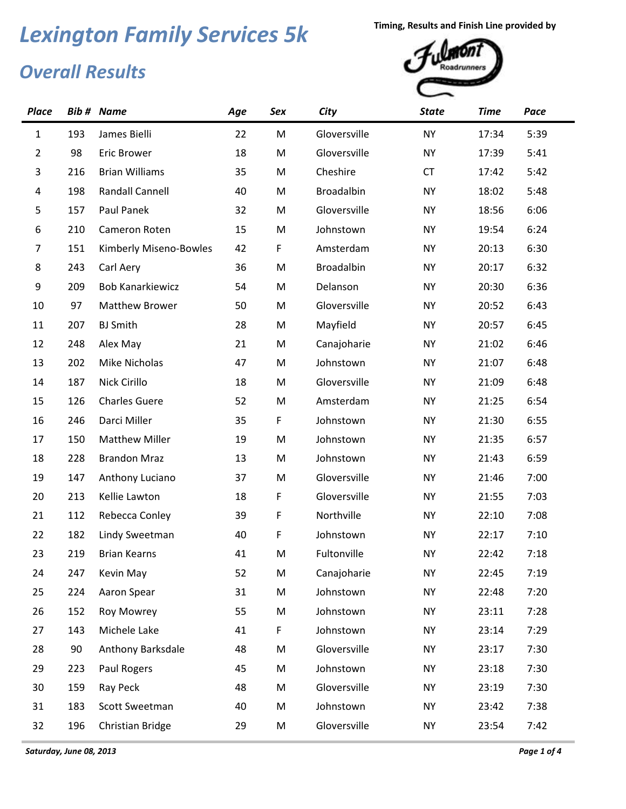## *Overall Results* **Lexington Family Services 5k Timing, Results and Finish Line provided by**<br> **Averall Paculte**



|     |                         | Age               | Sex | City              | <b>State</b> | <b>Time</b> | Pace |
|-----|-------------------------|-------------------|-----|-------------------|--------------|-------------|------|
| 193 | James Bielli            | 22                | M   | Gloversville      | <b>NY</b>    | 17:34       | 5:39 |
| 98  | <b>Eric Brower</b>      | 18                | M   | Gloversville      | <b>NY</b>    | 17:39       | 5:41 |
| 216 | <b>Brian Williams</b>   | 35                | M   | Cheshire          | <b>CT</b>    | 17:42       | 5:42 |
| 198 | <b>Randall Cannell</b>  | 40                | M   | <b>Broadalbin</b> | <b>NY</b>    | 18:02       | 5:48 |
| 157 | Paul Panek              | 32                | M   | Gloversville      | <b>NY</b>    | 18:56       | 6:06 |
| 210 | Cameron Roten           | 15                | M   | Johnstown         | <b>NY</b>    | 19:54       | 6:24 |
| 151 | Kimberly Miseno-Bowles  | 42                | F   | Amsterdam         | <b>NY</b>    | 20:13       | 6:30 |
| 243 | Carl Aery               | 36                | M   | Broadalbin        | <b>NY</b>    | 20:17       | 6:32 |
| 209 | <b>Bob Kanarkiewicz</b> | 54                | M   | Delanson          | <b>NY</b>    | 20:30       | 6:36 |
| 97  | <b>Matthew Brower</b>   | 50                | M   | Gloversville      | <b>NY</b>    | 20:52       | 6:43 |
| 207 | <b>BJ</b> Smith         | 28                | M   | Mayfield          | <b>NY</b>    | 20:57       | 6:45 |
| 248 | Alex May                | 21                | M   | Canajoharie       | <b>NY</b>    | 21:02       | 6:46 |
| 202 | Mike Nicholas           | 47                | M   | Johnstown         | <b>NY</b>    | 21:07       | 6:48 |
| 187 | Nick Cirillo            | 18                | M   | Gloversville      | <b>NY</b>    | 21:09       | 6:48 |
| 126 | <b>Charles Guere</b>    | 52                | M   | Amsterdam         | <b>NY</b>    | 21:25       | 6:54 |
| 246 | Darci Miller            | 35                | F   | Johnstown         | <b>NY</b>    | 21:30       | 6:55 |
| 150 | <b>Matthew Miller</b>   | 19                | M   | Johnstown         | <b>NY</b>    | 21:35       | 6:57 |
| 228 | <b>Brandon Mraz</b>     | 13                | M   | Johnstown         | <b>NY</b>    | 21:43       | 6:59 |
| 147 | Anthony Luciano         | 37                | M   | Gloversville      | <b>NY</b>    | 21:46       | 7:00 |
| 213 | Kellie Lawton           | 18                | F   | Gloversville      | <b>NY</b>    | 21:55       | 7:03 |
| 112 | Rebecca Conley          | 39                | F   | Northville        | <b>NY</b>    | 22:10       | 7:08 |
| 182 | Lindy Sweetman          | 40                | F   | Johnstown         | <b>NY</b>    | 22:17       | 7:10 |
| 219 | <b>Brian Kearns</b>     | 41                | M   | Fultonville       | <b>NY</b>    | 22:42       | 7:18 |
| 247 | Kevin May               | 52                | M   | Canajoharie       | <b>NY</b>    | 22:45       | 7:19 |
| 224 | Aaron Spear             | 31                | M   | Johnstown         | <b>NY</b>    | 22:48       | 7:20 |
| 152 | Roy Mowrey              | 55                | M   | Johnstown         | <b>NY</b>    | 23:11       | 7:28 |
| 143 | Michele Lake            | 41                | F   | Johnstown         | <b>NY</b>    | 23:14       | 7:29 |
| 90  | Anthony Barksdale       | 48                | M   | Gloversville      | <b>NY</b>    | 23:17       | 7:30 |
| 223 | Paul Rogers             | 45                | M   | Johnstown         | <b>NY</b>    | 23:18       | 7:30 |
| 159 | Ray Peck                | 48                | M   | Gloversville      | <b>NY</b>    | 23:19       | 7:30 |
| 183 | Scott Sweetman          | 40                | M   | Johnstown         | <b>NY</b>    | 23:42       | 7:38 |
| 196 | Christian Bridge        | 29                | M   | Gloversville      | <b>NY</b>    | 23:54       | 7:42 |
|     |                         | <b>Bib # Name</b> |     |                   |              |             |      |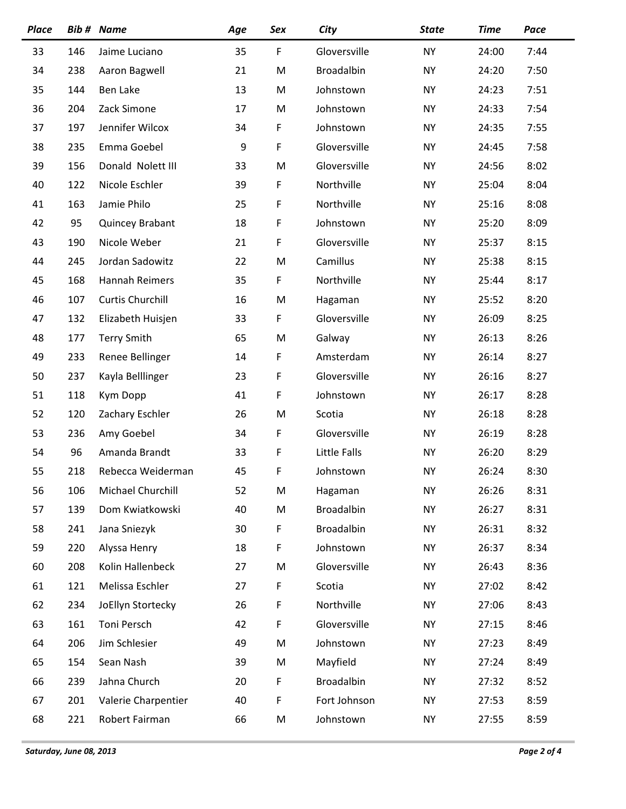| <b>Place</b> |     | <b>Bib # Name</b>       | Age | Sex | City              | <b>State</b> | <b>Time</b> | Pace |
|--------------|-----|-------------------------|-----|-----|-------------------|--------------|-------------|------|
| 33           | 146 | Jaime Luciano           | 35  | F   | Gloversville      | <b>NY</b>    | 24:00       | 7:44 |
| 34           | 238 | Aaron Bagwell           | 21  | M   | Broadalbin        | <b>NY</b>    | 24:20       | 7:50 |
| 35           | 144 | Ben Lake                | 13  | M   | Johnstown         | <b>NY</b>    | 24:23       | 7:51 |
| 36           | 204 | Zack Simone             | 17  | M   | Johnstown         | <b>NY</b>    | 24:33       | 7:54 |
| 37           | 197 | Jennifer Wilcox         | 34  | F   | Johnstown         | <b>NY</b>    | 24:35       | 7:55 |
| 38           | 235 | Emma Goebel             | 9   | F   | Gloversville      | <b>NY</b>    | 24:45       | 7:58 |
| 39           | 156 | Donald Nolett III       | 33  | M   | Gloversville      | <b>NY</b>    | 24:56       | 8:02 |
| 40           | 122 | Nicole Eschler          | 39  | F   | Northville        | <b>NY</b>    | 25:04       | 8:04 |
| 41           | 163 | Jamie Philo             | 25  | F   | Northville        | <b>NY</b>    | 25:16       | 8:08 |
| 42           | 95  | Quincey Brabant         | 18  | F   | Johnstown         | <b>NY</b>    | 25:20       | 8:09 |
| 43           | 190 | Nicole Weber            | 21  | F   | Gloversville      | <b>NY</b>    | 25:37       | 8:15 |
| 44           | 245 | Jordan Sadowitz         | 22  | M   | Camillus          | <b>NY</b>    | 25:38       | 8:15 |
| 45           | 168 | Hannah Reimers          | 35  | F   | Northville        | <b>NY</b>    | 25:44       | 8:17 |
| 46           | 107 | <b>Curtis Churchill</b> | 16  | M   | Hagaman           | <b>NY</b>    | 25:52       | 8:20 |
| 47           | 132 | Elizabeth Huisjen       | 33  | F   | Gloversville      | <b>NY</b>    | 26:09       | 8:25 |
| 48           | 177 | <b>Terry Smith</b>      | 65  | M   | Galway            | <b>NY</b>    | 26:13       | 8:26 |
| 49           | 233 | Renee Bellinger         | 14  | F   | Amsterdam         | <b>NY</b>    | 26:14       | 8:27 |
| 50           | 237 | Kayla Belllinger        | 23  | F   | Gloversville      | <b>NY</b>    | 26:16       | 8:27 |
| 51           | 118 | Kym Dopp                | 41  | F   | Johnstown         | <b>NY</b>    | 26:17       | 8:28 |
| 52           | 120 | Zachary Eschler         | 26  | M   | Scotia            | <b>NY</b>    | 26:18       | 8:28 |
| 53           | 236 | Amy Goebel              | 34  | F   | Gloversville      | <b>NY</b>    | 26:19       | 8:28 |
| 54           | 96  | Amanda Brandt           | 33  | F   | Little Falls      | <b>NY</b>    | 26:20       | 8:29 |
| 55           | 218 | Rebecca Weiderman       | 45  | F   | Johnstown         | <b>NY</b>    | 26:24       | 8:30 |
| 56           | 106 | Michael Churchill       | 52  | M   | Hagaman           | <b>NY</b>    | 26:26       | 8:31 |
| 57           | 139 | Dom Kwiatkowski         | 40  | M   | <b>Broadalbin</b> | <b>NY</b>    | 26:27       | 8:31 |
| 58           | 241 | Jana Sniezyk            | 30  | F   | <b>Broadalbin</b> | <b>NY</b>    | 26:31       | 8:32 |
| 59           | 220 | Alyssa Henry            | 18  | F   | Johnstown         | <b>NY</b>    | 26:37       | 8:34 |
| 60           | 208 | Kolin Hallenbeck        | 27  | M   | Gloversville      | NY           | 26:43       | 8:36 |
| 61           | 121 | Melissa Eschler         | 27  | F   | Scotia            | <b>NY</b>    | 27:02       | 8:42 |
| 62           | 234 | JoEllyn Stortecky       | 26  | F   | Northville        | NY           | 27:06       | 8:43 |
| 63           | 161 | Toni Persch             | 42  | F   | Gloversville      | <b>NY</b>    | 27:15       | 8:46 |
| 64           | 206 | Jim Schlesier           | 49  | M   | Johnstown         | NY           | 27:23       | 8:49 |
| 65           | 154 | Sean Nash               | 39  | M   | Mayfield          | NY           | 27:24       | 8:49 |
| 66           | 239 | Jahna Church            | 20  | F   | <b>Broadalbin</b> | NY           | 27:32       | 8:52 |
| 67           | 201 | Valerie Charpentier     | 40  | F   | Fort Johnson      | <b>NY</b>    | 27:53       | 8:59 |
| 68           | 221 | Robert Fairman          | 66  | M   | Johnstown         | NY           | 27:55       | 8:59 |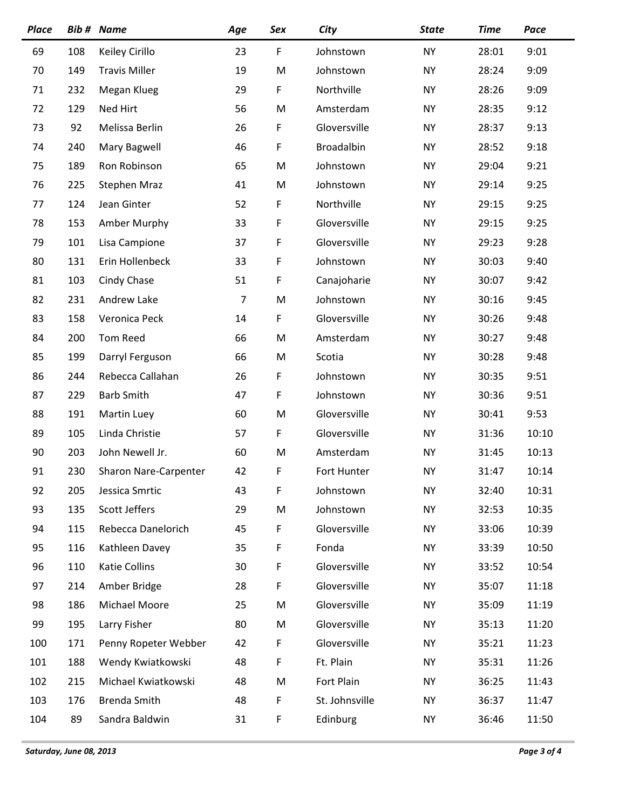| <b>Place</b> |     | <b>Bib # Name</b>     | Age | Sex         | City           | <b>State</b> | <b>Time</b> | Pace  |
|--------------|-----|-----------------------|-----|-------------|----------------|--------------|-------------|-------|
| 69           | 108 | Keiley Cirillo        | 23  | $\mathsf F$ | Johnstown      | <b>NY</b>    | 28:01       | 9:01  |
| 70           | 149 | <b>Travis Miller</b>  | 19  | M           | Johnstown      | <b>NY</b>    | 28:24       | 9:09  |
| 71           | 232 | Megan Klueg           | 29  | F           | Northville     | <b>NY</b>    | 28:26       | 9:09  |
| 72           | 129 | Ned Hirt              | 56  | M           | Amsterdam      | <b>NY</b>    | 28:35       | 9:12  |
| 73           | 92  | Melissa Berlin        | 26  | F           | Gloversville   | <b>NY</b>    | 28:37       | 9:13  |
| 74           | 240 | Mary Bagwell          | 46  | F           | Broadalbin     | <b>NY</b>    | 28:52       | 9:18  |
| 75           | 189 | Ron Robinson          | 65  | M           | Johnstown      | <b>NY</b>    | 29:04       | 9:21  |
| 76           | 225 | <b>Stephen Mraz</b>   | 41  | M           | Johnstown      | <b>NY</b>    | 29:14       | 9:25  |
| 77           | 124 | Jean Ginter           | 52  | F           | Northville     | <b>NY</b>    | 29:15       | 9:25  |
| 78           | 153 | Amber Murphy          | 33  | $\mathsf F$ | Gloversville   | <b>NY</b>    | 29:15       | 9:25  |
| 79           | 101 | Lisa Campione         | 37  | F           | Gloversville   | <b>NY</b>    | 29:23       | 9:28  |
| 80           | 131 | Erin Hollenbeck       | 33  | F           | Johnstown      | <b>NY</b>    | 30:03       | 9:40  |
| 81           | 103 | Cindy Chase           | 51  | F           | Canajoharie    | <b>NY</b>    | 30:07       | 9:42  |
| 82           | 231 | Andrew Lake           | 7   | M           | Johnstown      | <b>NY</b>    | 30:16       | 9:45  |
| 83           | 158 | Veronica Peck         | 14  | F           | Gloversville   | <b>NY</b>    | 30:26       | 9:48  |
| 84           | 200 | Tom Reed              | 66  | M           | Amsterdam      | <b>NY</b>    | 30:27       | 9:48  |
| 85           | 199 | Darryl Ferguson       | 66  | M           | Scotia         | <b>NY</b>    | 30:28       | 9:48  |
| 86           | 244 | Rebecca Callahan      | 26  | F           | Johnstown      | <b>NY</b>    | 30:35       | 9:51  |
| 87           | 229 | <b>Barb Smith</b>     | 47  | F           | Johnstown      | <b>NY</b>    | 30:36       | 9:51  |
| 88           | 191 | Martin Luey           | 60  | M           | Gloversville   | <b>NY</b>    | 30:41       | 9:53  |
| 89           | 105 | Linda Christie        | 57  | F           | Gloversville   | <b>NY</b>    | 31:36       | 10:10 |
| 90           | 203 | John Newell Jr.       | 60  | M           | Amsterdam      | <b>NY</b>    | 31:45       | 10:13 |
| 91           | 230 | Sharon Nare-Carpenter | 42  | F           | Fort Hunter    | <b>NY</b>    | 31:47       | 10:14 |
| 92           | 205 | Jessica Smrtic        | 43  | F           | Johnstown      | <b>NY</b>    | 32:40       | 10:31 |
| 93           | 135 | Scott Jeffers         | 29  | M           | Johnstown      | NY           | 32:53       | 10:35 |
| 94           | 115 | Rebecca Danelorich    | 45  | F           | Gloversville   | <b>NY</b>    | 33:06       | 10:39 |
| 95           | 116 | Kathleen Davey        | 35  | F           | Fonda          | <b>NY</b>    | 33:39       | 10:50 |
| 96           | 110 | <b>Katie Collins</b>  | 30  | F           | Gloversville   | NY           | 33:52       | 10:54 |
| 97           | 214 | Amber Bridge          | 28  | F           | Gloversville   | <b>NY</b>    | 35:07       | 11:18 |
| 98           | 186 | Michael Moore         | 25  | M           | Gloversville   | NY           | 35:09       | 11:19 |
| 99           | 195 | Larry Fisher          | 80  | M           | Gloversville   | <b>NY</b>    | 35:13       | 11:20 |
| 100          | 171 | Penny Ropeter Webber  | 42  | F           | Gloversville   | NY           | 35:21       | 11:23 |
| 101          | 188 | Wendy Kwiatkowski     | 48  | F           | Ft. Plain      | NY           | 35:31       | 11:26 |
| 102          | 215 | Michael Kwiatkowski   | 48  | M           | Fort Plain     | <b>NY</b>    | 36:25       | 11:43 |
| 103          | 176 | Brenda Smith          | 48  | F           | St. Johnsville | NY           | 36:37       | 11:47 |
| 104          | 89  | Sandra Baldwin        | 31  | F           | Edinburg       | NY           | 36:46       | 11:50 |